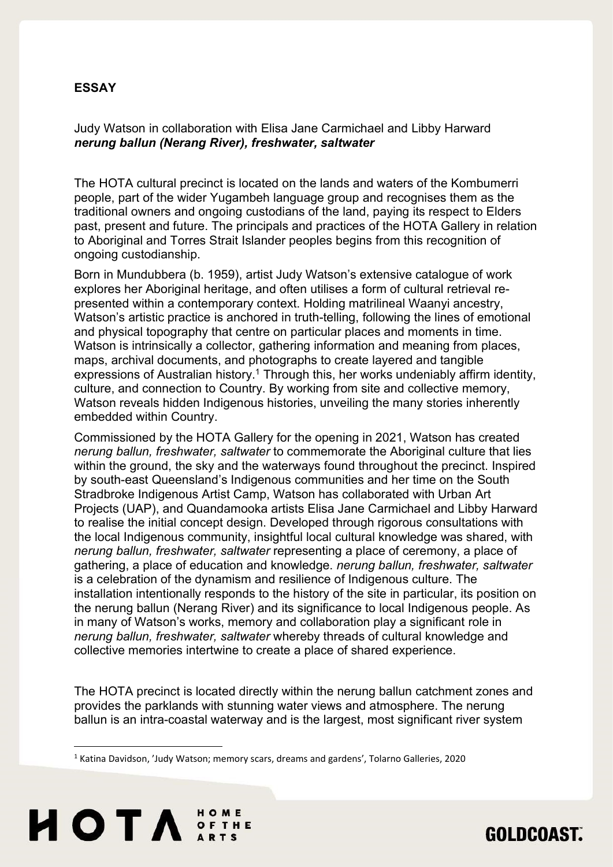## ESSAY

Judy Watson in collaboration with Elisa Jane Carmichael and Libby Harward nerung ballun (Nerang River), freshwater, saltwater

The HOTA cultural precinct is located on the lands and waters of the Kombumerri people, part of the wider Yugambeh language group and recognises them as the traditional owners and ongoing custodians of the land, paying its respect to Elders past, present and future. The principals and practices of the HOTA Gallery in relation to Aboriginal and Torres Strait Islander peoples begins from this recognition of ongoing custodianship.

Born in Mundubbera (b. 1959), artist Judy Watson's extensive catalogue of work explores her Aboriginal heritage, and often utilises a form of cultural retrieval represented within a contemporary context. Holding matrilineal Waanyi ancestry, Watson's artistic practice is anchored in truth-telling, following the lines of emotional and physical topography that centre on particular places and moments in time. Watson is intrinsically a collector, gathering information and meaning from places, maps, archival documents, and photographs to create layered and tangible expressions of Australian history.<sup>1</sup> Through this, her works undeniably affirm identity, culture, and connection to Country. By working from site and collective memory, Watson reveals hidden Indigenous histories, unveiling the many stories inherently embedded within Country.

Commissioned by the HOTA Gallery for the opening in 2021, Watson has created nerung ballun, freshwater, saltwater to commemorate the Aboriginal culture that lies within the ground, the sky and the waterways found throughout the precinct. Inspired by south-east Queensland's Indigenous communities and her time on the South Stradbroke Indigenous Artist Camp, Watson has collaborated with Urban Art Projects (UAP), and Quandamooka artists Elisa Jane Carmichael and Libby Harward to realise the initial concept design. Developed through rigorous consultations with the local Indigenous community, insightful local cultural knowledge was shared, with nerung ballun, freshwater, saltwater representing a place of ceremony, a place of gathering, a place of education and knowledge. nerung ballun, freshwater, saltwater is a celebration of the dynamism and resilience of Indigenous culture. The installation intentionally responds to the history of the site in particular, its position on the nerung ballun (Nerang River) and its significance to local Indigenous people. As in many of Watson's works, memory and collaboration play a significant role in nerung ballun, freshwater, saltwater whereby threads of cultural knowledge and collective memories intertwine to create a place of shared experience.

The HOTA precinct is located directly within the nerung ballun catchment zones and provides the parklands with stunning water views and atmosphere. The nerung ballun is an intra-coastal waterway and is the largest, most significant river system

**GOLDCOAST.** 

<sup>&</sup>lt;sup>1</sup> Katina Davidson, 'Judy Watson; memory scars, dreams and gardens', Tolarno Galleries, 2020

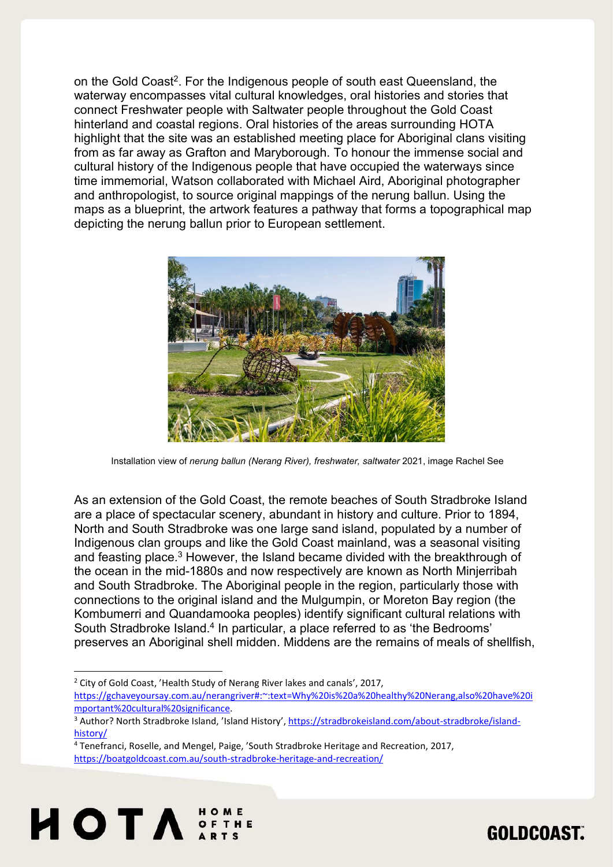on the Gold Coast<sup>2</sup>. For the Indigenous people of south east Queensland, the waterway encompasses vital cultural knowledges, oral histories and stories that connect Freshwater people with Saltwater people throughout the Gold Coast hinterland and coastal regions. Oral histories of the areas surrounding HOTA highlight that the site was an established meeting place for Aboriginal clans visiting from as far away as Grafton and Maryborough. To honour the immense social and cultural history of the Indigenous people that have occupied the waterways since time immemorial, Watson collaborated with Michael Aird, Aboriginal photographer and anthropologist, to source original mappings of the nerung ballun. Using the maps as a blueprint, the artwork features a pathway that forms a topographical map depicting the nerung ballun prior to European settlement.



Installation view of nerung ballun (Nerang River), freshwater, saltwater 2021, image Rachel See

As an extension of the Gold Coast, the remote beaches of South Stradbroke Island are a place of spectacular scenery, abundant in history and culture. Prior to 1894, North and South Stradbroke was one large sand island, populated by a number of Indigenous clan groups and like the Gold Coast mainland, was a seasonal visiting and feasting place.<sup>3</sup> However, the Island became divided with the breakthrough of the ocean in the mid-1880s and now respectively are known as North Minjerribah and South Stradbroke. The Aboriginal people in the region, particularly those with connections to the original island and the Mulgumpin, or Moreton Bay region (the Kombumerri and Quandamooka peoples) identify significant cultural relations with South Stradbroke Island.<sup>4</sup> In particular, a place referred to as 'the Bedrooms' preserves an Aboriginal shell midden. Middens are the remains of meals of shellfish,

<sup>2</sup> City of Gold Coast, 'Health Study of Nerang River lakes and canals', 2017, https://gchaveyoursay.com.au/nerangriver#:~:text=Why%20is%20a%20healthy%20Nerang,also%20have%20i mportant%20cultural%20significance.

<sup>&</sup>lt;sup>4</sup> Tenefranci, Roselle, and Mengel, Paige, 'South Stradbroke Heritage and Recreation, 2017, https://boatgoldcoast.com.au/south-stradbroke-heritage-and-recreation/





<sup>&</sup>lt;sup>3</sup> Author? North Stradbroke Island, 'Island History', https://stradbrokeisland.com/about-stradbroke/islandhistory/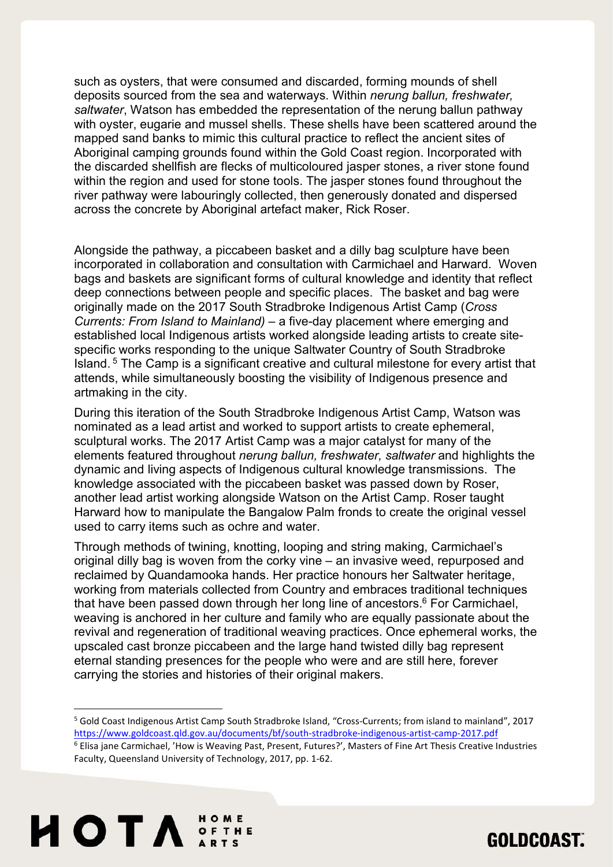such as oysters, that were consumed and discarded, forming mounds of shell deposits sourced from the sea and waterways. Within nerung ballun, freshwater, saltwater, Watson has embedded the representation of the nerung ballun pathway with oyster, eugarie and mussel shells. These shells have been scattered around the mapped sand banks to mimic this cultural practice to reflect the ancient sites of Aboriginal camping grounds found within the Gold Coast region. Incorporated with the discarded shellfish are flecks of multicoloured jasper stones, a river stone found within the region and used for stone tools. The jasper stones found throughout the river pathway were labouringly collected, then generously donated and dispersed across the concrete by Aboriginal artefact maker, Rick Roser.

Alongside the pathway, a piccabeen basket and a dilly bag sculpture have been incorporated in collaboration and consultation with Carmichael and Harward. Woven bags and baskets are significant forms of cultural knowledge and identity that reflect deep connections between people and specific places. The basket and bag were originally made on the 2017 South Stradbroke Indigenous Artist Camp (Cross Currents: From Island to Mainland) – a five-day placement where emerging and established local Indigenous artists worked alongside leading artists to create sitespecific works responding to the unique Saltwater Country of South Stradbroke Island.<sup>5</sup> The Camp is a significant creative and cultural milestone for every artist that attends, while simultaneously boosting the visibility of Indigenous presence and artmaking in the city.

During this iteration of the South Stradbroke Indigenous Artist Camp, Watson was nominated as a lead artist and worked to support artists to create ephemeral, sculptural works. The 2017 Artist Camp was a major catalyst for many of the elements featured throughout nerung ballun, freshwater, saltwater and highlights the dynamic and living aspects of Indigenous cultural knowledge transmissions. The knowledge associated with the piccabeen basket was passed down by Roser, another lead artist working alongside Watson on the Artist Camp. Roser taught Harward how to manipulate the Bangalow Palm fronds to create the original vessel used to carry items such as ochre and water.

Through methods of twining, knotting, looping and string making, Carmichael's original dilly bag is woven from the corky vine – an invasive weed, repurposed and reclaimed by Quandamooka hands. Her practice honours her Saltwater heritage, working from materials collected from Country and embraces traditional techniques that have been passed down through her long line of ancestors.<sup>6</sup> For Carmichael, weaving is anchored in her culture and family who are equally passionate about the revival and regeneration of traditional weaving practices. Once ephemeral works, the upscaled cast bronze piccabeen and the large hand twisted dilly bag represent eternal standing presences for the people who were and are still here, forever carrying the stories and histories of their original makers.

<sup>5</sup> Gold Coast Indigenous Artist Camp South Stradbroke Island, "Cross-Currents; from island to mainland", 2017 https://www.goldcoast.qld.gov.au/documents/bf/south-stradbroke-indigenous-artist-camp-2017.pdf

<sup>&</sup>lt;sup>6</sup> Elisa jane Carmichael, 'How is Weaving Past, Present, Futures?', Masters of Fine Art Thesis Creative Industries Faculty, Queensland University of Technology, 2017, pp. 1-62.



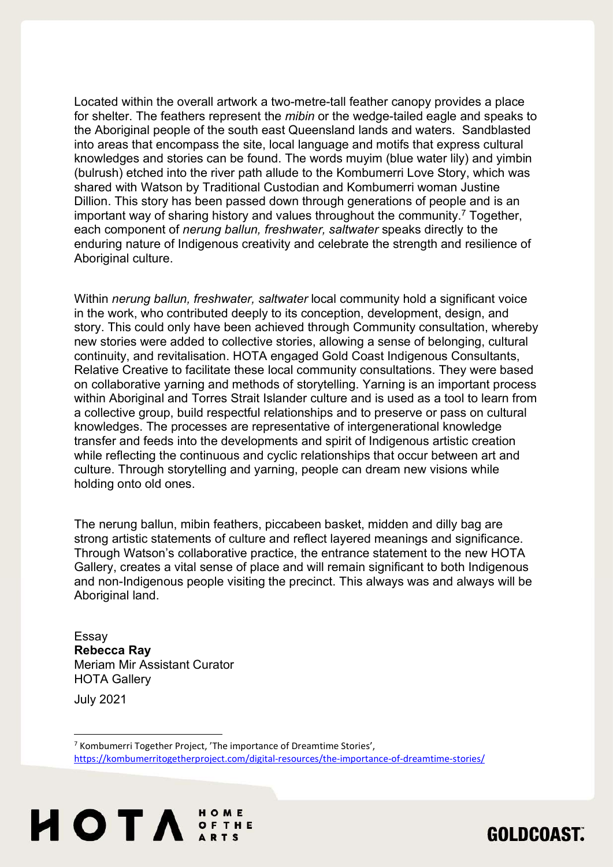Located within the overall artwork a two-metre-tall feather canopy provides a place for shelter. The feathers represent the *mibin* or the wedge-tailed eagle and speaks to the Aboriginal people of the south east Queensland lands and waters. Sandblasted into areas that encompass the site, local language and motifs that express cultural knowledges and stories can be found. The words muyim (blue water lily) and yimbin (bulrush) etched into the river path allude to the Kombumerri Love Story, which was shared with Watson by Traditional Custodian and Kombumerri woman Justine Dillion. This story has been passed down through generations of people and is an important way of sharing history and values throughout the community.<sup>7</sup> Together, each component of nerung ballun, freshwater, saltwater speaks directly to the enduring nature of Indigenous creativity and celebrate the strength and resilience of Aboriginal culture.

Within nerung ballun, freshwater, saltwater local community hold a significant voice in the work, who contributed deeply to its conception, development, design, and story. This could only have been achieved through Community consultation, whereby new stories were added to collective stories, allowing a sense of belonging, cultural continuity, and revitalisation. HOTA engaged Gold Coast Indigenous Consultants, Relative Creative to facilitate these local community consultations. They were based on collaborative yarning and methods of storytelling. Yarning is an important process within Aboriginal and Torres Strait Islander culture and is used as a tool to learn from a collective group, build respectful relationships and to preserve or pass on cultural knowledges. The processes are representative of intergenerational knowledge transfer and feeds into the developments and spirit of Indigenous artistic creation while reflecting the continuous and cyclic relationships that occur between art and culture. Through storytelling and yarning, people can dream new visions while holding onto old ones.

The nerung ballun, mibin feathers, piccabeen basket, midden and dilly bag are strong artistic statements of culture and reflect layered meanings and significance. Through Watson's collaborative practice, the entrance statement to the new HOTA Gallery, creates a vital sense of place and will remain significant to both Indigenous and non-Indigenous people visiting the precinct. This always was and always will be Aboriginal land.

Essay Rebecca Ray Meriam Mir Assistant Curator HOTA Gallery

July 2021

<sup>&</sup>lt;sup>7</sup> Kombumerri Together Project, 'The importance of Dreamtime Stories', https://kombumerritogetherproject.com/digital-resources/the-importance-of-dreamtime-stories/